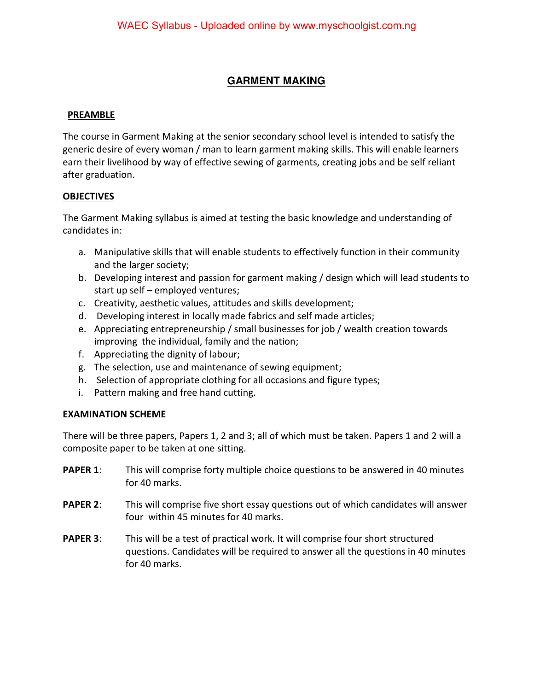# **GARMENT MAKING**

## **PREAMBLE**

The course in Garment Making at the senior secondary school level is intended to satisfy the generic desire of every woman / man to learn garment making skills. This will enable learners earn their livelihood by way of effective sewing of garments, creating jobs and be self reliant after graduation.

## **OBJECTIVES**

The Garment Making syllabus is aimed at testing the basic knowledge and understanding of candidates in:

- a. Manipulative skills that will enable students to effectively function in their community and the larger society;
- b. Developing interest and passion for garment making / design which will lead students to start up self – employed ventures;
- c. Creativity, aesthetic values, attitudes and skills development;
- d. Developing interest in locally made fabrics and self made articles;
- e. Appreciating entrepreneurship / small businesses for job / wealth creation towards improving the individual, family and the nation;
- f. Appreciating the dignity of labour;
- g. The selection, use and maintenance of sewing equipment;
- h. Selection of appropriate clothing for all occasions and figure types;
- i. Pattern making and free hand cutting.

# **EXAMINATION SCHEME**

There will be three papers, Papers 1, 2 and 3; all of which must be taken. Papers 1 and 2 will a composite paper to be taken at one sitting.

- **PAPER 1:** This will comprise forty multiple choice questions to be answered in 40 minutes for 40 marks.
- **PAPER 2:** This will comprise five short essay questions out of which candidates will answer four within 45 minutes for 40 marks.
- **PAPER 3:** This will be a test of practical work. It will comprise four short structured questions. Candidates will be required to answer all the questions in 40 minutes for 40 marks.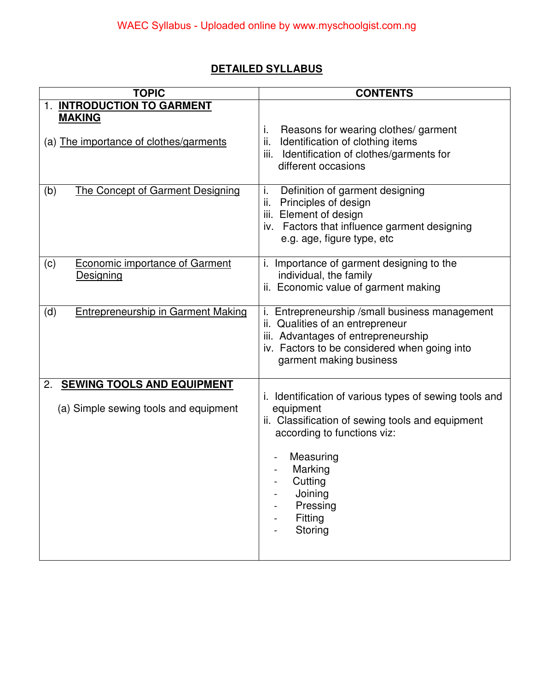# **DETAILED SYLLABUS**

| <b>TOPIC</b>                                                                     | <b>CONTENTS</b>                                                                                                                                                                                                                        |
|----------------------------------------------------------------------------------|----------------------------------------------------------------------------------------------------------------------------------------------------------------------------------------------------------------------------------------|
| 1. INTRODUCTION TO GARMENT<br><b>MAKING</b>                                      |                                                                                                                                                                                                                                        |
| (a) The importance of clothes/garments                                           | i.<br>Reasons for wearing clothes/garment<br>Identification of clothing items<br>ii.<br>iii. Identification of clothes/garments for<br>different occasions                                                                             |
| (b)<br>The Concept of Garment Designing                                          | i.<br>Definition of garment designing<br>Principles of design<br>ii.<br>iii. Element of design<br>iv. Factors that influence garment designing<br>e.g. age, figure type, etc                                                           |
| <b>Economic importance of Garment</b><br>(c)<br>Designing                        | i. Importance of garment designing to the<br>individual, the family<br>ii. Economic value of garment making                                                                                                                            |
| (d)<br><b>Entrepreneurship in Garment Making</b>                                 | i. Entrepreneurship / small business management<br>Qualities of an entrepreneur<br>ii.<br>iii. Advantages of entrepreneurship<br>iv. Factors to be considered when going into<br>garment making business                               |
| <b>SEWING TOOLS AND EQUIPMENT</b><br>2.<br>(a) Simple sewing tools and equipment | i. Identification of various types of sewing tools and<br>equipment<br>ii. Classification of sewing tools and equipment<br>according to functions viz:<br>Measuring<br>Marking<br>Cutting<br>Joining<br>Pressing<br>Fitting<br>Storing |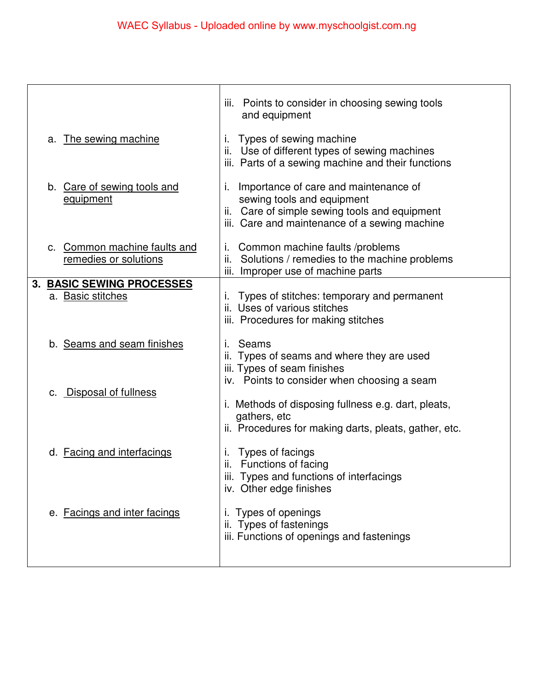| iii. Points to consider in choosing sewing tools<br>and equipment                                                                                                           |
|-----------------------------------------------------------------------------------------------------------------------------------------------------------------------------|
| Types of sewing machine<br>Ι.<br>ii. Use of different types of sewing machines<br>iii. Parts of a sewing machine and their functions                                        |
| Importance of care and maintenance of<br>Ι.<br>sewing tools and equipment<br>ii. Care of simple sewing tools and equipment<br>iii. Care and maintenance of a sewing machine |
| Common machine faults /problems<br>L.<br>ii. Solutions / remedies to the machine problems<br>iii. Improper use of machine parts                                             |
|                                                                                                                                                                             |
| Types of stitches: temporary and permanent<br>ii. Uses of various stitches<br>iii. Procedures for making stitches                                                           |
| Seams<br>ii. Types of seams and where they are used<br>iii. Types of seam finishes                                                                                          |
| iv. Points to consider when choosing a seam<br>i. Methods of disposing fullness e.g. dart, pleats,<br>gathers, etc<br>ii. Procedures for making darts, pleats, gather, etc. |
| Types of facings<br>ı.<br>ii. Functions of facing<br>iii. Types and functions of interfacings<br>iv. Other edge finishes                                                    |
| i. Types of openings<br>ii. Types of fastenings<br>iii. Functions of openings and fastenings                                                                                |
|                                                                                                                                                                             |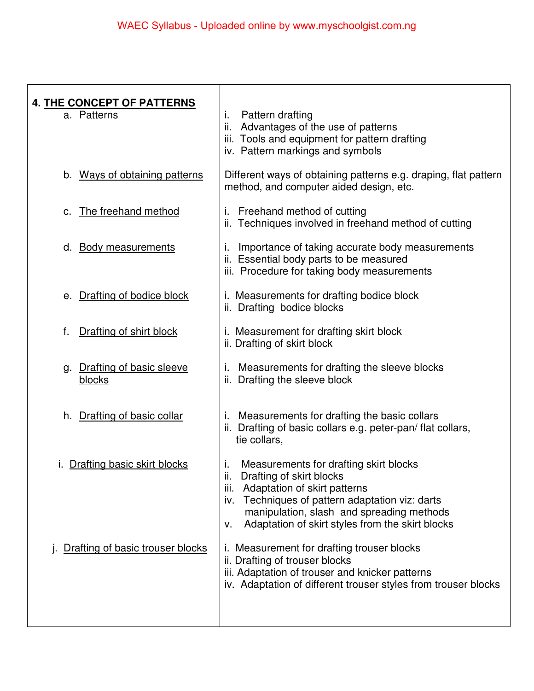| <b>4. THE CONCEPT OF PATTERNS</b><br>a. Patterns | Pattern drafting<br>j.<br>ii. Advantages of the use of patterns<br>iii. Tools and equipment for pattern drafting<br>iv. Pattern markings and symbols                                                                                                                           |
|--------------------------------------------------|--------------------------------------------------------------------------------------------------------------------------------------------------------------------------------------------------------------------------------------------------------------------------------|
| b. Ways of obtaining patterns                    | Different ways of obtaining patterns e.g. draping, flat pattern<br>method, and computer aided design, etc.                                                                                                                                                                     |
| The freehand method<br>C.                        | Freehand method of cutting<br>İ.<br>ii. Techniques involved in freehand method of cutting                                                                                                                                                                                      |
| <b>Body measurements</b><br>d.                   | Importance of taking accurate body measurements<br>ı.<br>ii. Essential body parts to be measured<br>iii. Procedure for taking body measurements                                                                                                                                |
| e. Drafting of bodice block                      | i. Measurements for drafting bodice block<br>ii. Drafting bodice blocks                                                                                                                                                                                                        |
| Drafting of shirt block<br>f.                    | i. Measurement for drafting skirt block<br>ii. Drafting of skirt block                                                                                                                                                                                                         |
| Drafting of basic sleeve<br>g.<br><b>blocks</b>  | Measurements for drafting the sleeve blocks<br>i.<br>ii. Drafting the sleeve block                                                                                                                                                                                             |
| Drafting of basic collar<br>h.                   | Measurements for drafting the basic collars<br>Τ.<br>ii. Drafting of basic collars e.g. peter-pan/flat collars,<br>tie collars,                                                                                                                                                |
| Drafting basic skirt blocks                      | Measurements for drafting skirt blocks<br>j.<br>Drafting of skirt blocks<br>ii.<br>iii. Adaptation of skirt patterns<br>iv. Techniques of pattern adaptation viz: darts<br>manipulation, slash and spreading methods<br>Adaptation of skirt styles from the skirt blocks<br>v. |
| Drafting of basic trouser blocks                 | i. Measurement for drafting trouser blocks<br>ii. Drafting of trouser blocks<br>iii. Adaptation of trouser and knicker patterns<br>iv. Adaptation of different trouser styles from trouser blocks                                                                              |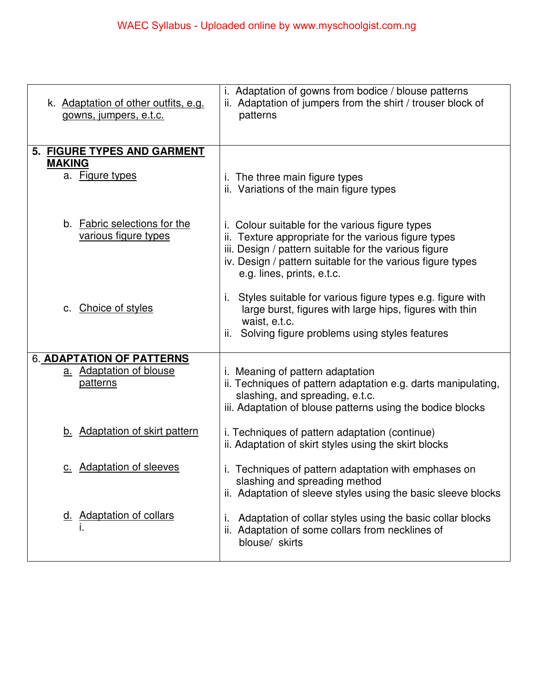| k. Adaptation of other outfits, e.g.<br>gowns, jumpers, e.t.c. | i. Adaptation of gowns from bodice / blouse patterns<br>ii. Adaptation of jumpers from the shirt / trouser block of<br>patterns                                                                                                                              |
|----------------------------------------------------------------|--------------------------------------------------------------------------------------------------------------------------------------------------------------------------------------------------------------------------------------------------------------|
| 5. FIGURE TYPES AND GARMENT                                    |                                                                                                                                                                                                                                                              |
| <b>MAKING</b><br>a. Figure types                               | i. The three main figure types<br>ii. Variations of the main figure types                                                                                                                                                                                    |
| b. Fabric selections for the<br>various figure types           | i. Colour suitable for the various figure types<br>ii. Texture appropriate for the various figure types<br>iii. Design / pattern suitable for the various figure<br>iv. Design / pattern suitable for the various figure types<br>e.g. lines, prints, e.t.c. |
| c. Choice of styles                                            | Styles suitable for various figure types e.g. figure with<br>large burst, figures with large hips, figures with thin<br>waist, e.t.c.<br>Solving figure problems using styles features                                                                       |
| 6. ADAPTATION OF PATTERNS                                      |                                                                                                                                                                                                                                                              |
| a. Adaptation of blouse<br>patterns                            | <i>i.</i> Meaning of pattern adaptation<br>ii. Techniques of pattern adaptation e.g. darts manipulating,<br>slashing, and spreading, e.t.c.<br>iii. Adaptation of blouse patterns using the bodice blocks                                                    |
| b. Adaptation of skirt pattern                                 | <i>i.</i> Techniques of pattern adaptation (continue)<br>ii. Adaptation of skirt styles using the skirt blocks                                                                                                                                               |
| c. Adaptation of sleeves                                       | Techniques of pattern adaptation with emphases on<br>slashing and spreading method<br>ii. Adaptation of sleeve styles using the basic sleeve blocks                                                                                                          |
| <b>Adaptation of collars</b><br><u>d.</u>                      | Adaptation of collar styles using the basic collar blocks<br>ι.<br>ii. Adaptation of some collars from necklines of<br>blouse/ skirts                                                                                                                        |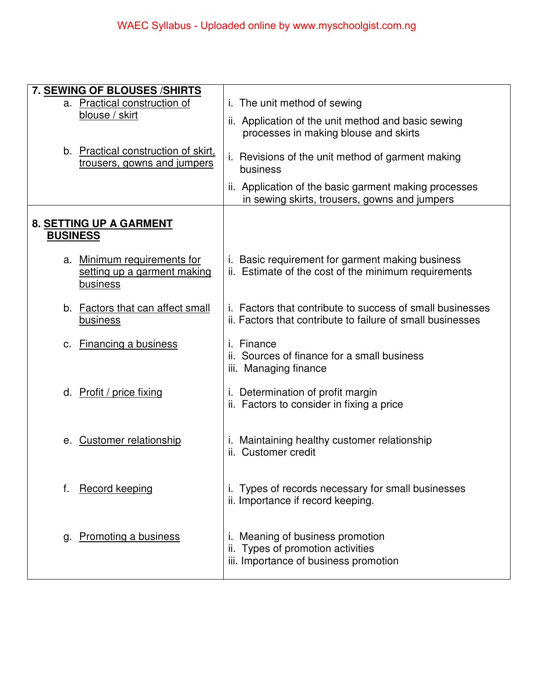| 7. SEWING OF BLOUSES / SHIRTS<br>a. Practical construction of                 | i. The unit method of sewing                                                                                                   |
|-------------------------------------------------------------------------------|--------------------------------------------------------------------------------------------------------------------------------|
| blouse / skirt                                                                | ii. Application of the unit method and basic sewing<br>processes in making blouse and skirts                                   |
| b. Practical construction of skirt,<br>trousers, gowns and jumpers            | i. Revisions of the unit method of garment making<br>business                                                                  |
|                                                                               | ii. Application of the basic garment making processes<br>in sewing skirts, trousers, gowns and jumpers                         |
| 8. SETTING UP A GARMENT<br><b>BUSINESS</b>                                    |                                                                                                                                |
| a. Minimum requirements for<br>setting up a garment making<br><b>business</b> | i. Basic requirement for garment making business<br>ii. Estimate of the cost of the minimum requirements                       |
| b. Factors that can affect small<br><b>business</b>                           | <i>i.</i> Factors that contribute to success of small businesses<br>ii. Factors that contribute to failure of small businesses |
| c. Financing a business                                                       | i. Finance<br>ii. Sources of finance for a small business<br>iii. Managing finance                                             |
| d. Profit / price fixing                                                      | i. Determination of profit margin<br>ii. Factors to consider in fixing a price                                                 |
| e. Customer relationship                                                      | i. Maintaining healthy customer relationship<br>ii. Customer credit                                                            |
| <b>Record keeping</b><br>f.                                                   | i. Types of records necessary for small businesses<br>ii. Importance if record keeping.                                        |
| Promoting a business<br>g.                                                    | Meaning of business promotion<br>ii. Types of promotion activities<br>iii. Importance of business promotion                    |